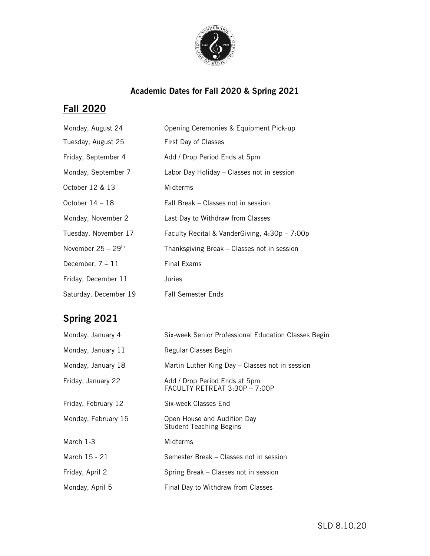

## **Academic Dates for Fall 2020 & Spring 2021**

## **Fall 2020**

| Monday, August 24                | Opening Ceremonies & Equipment Pick-up          |
|----------------------------------|-------------------------------------------------|
| Tuesday, August 25               | First Day of Classes                            |
| Friday, September 4              | Add / Drop Period Ends at 5pm                   |
| Monday, September 7              | Labor Day Holiday - Classes not in session      |
| October 12 & 13                  | Midterms                                        |
| October $14-18$                  | Fall Break - Classes not in session             |
| Monday, November 2               | Last Day to Withdraw from Classes               |
| Tuesday, November 17             | Faculty Recital & VanderGiving, $4:30p - 7:00p$ |
| November $25 - 29$ <sup>th</sup> | Thanksgiving Break - Classes not in session     |
| December, $7 - 11$               | <b>Final Exams</b>                              |
| Friday, December 11              | Juries                                          |
| Saturday, December 19            | <b>Fall Semester Ends</b>                       |

## **Spring 2021**

| Monday, January 4   | Six-week Senior Professional Education Classes Begin           |
|---------------------|----------------------------------------------------------------|
| Monday, January 11  | Regular Classes Begin                                          |
| Monday, January 18  | Martin Luther King Day - Classes not in session                |
| Friday, January 22  | Add / Drop Period Ends at 5pm<br>FACULTY RETREAT 3:30P - 7:00P |
| Friday, February 12 | Six-week Classes End                                           |
| Monday, February 15 | Open House and Audition Day<br><b>Student Teaching Begins</b>  |
| March $1-3$         | Midterms                                                       |
| March 15 - 21       | Semester Break - Classes not in session                        |
| Friday, April 2     | Spring Break - Classes not in session                          |
| Monday, April 5     | Final Day to Withdraw from Classes                             |